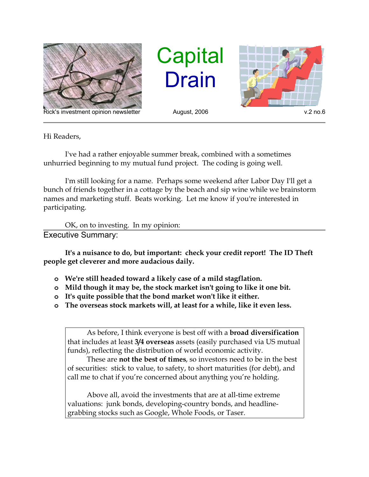

Rick's investment opinion newsletter August, 2006 v.2 no.6

**Capital** Drain



Hi Readers,

I've had a rather enjoyable summer break, combined with a sometimes unhurried beginning to my mutual fund project. The coding is going well.

I'm still looking for a name. Perhaps some weekend after Labor Day I'll get a bunch of friends together in a cottage by the beach and sip wine while we brainstorm names and marketing stuff. Beats working. Let me know if you're interested in participating.

OK, on to investing. In my opinion:

Executive Summary:

**It's a nuisance to do, but important: check your credit report! The ID Theft people get cleverer and more audacious daily.**

- **o We're still headed toward a likely case of a mild stagflation.**
- **o Mild though it may be, the stock market isn't going to like it one bit.**
- **o It's quite possible that the bond market won't like it either.**
- **o The overseas stock markets will, at least for a while, like it even less.**

As before, I think everyone is best off with a **broad diversification** that includes at least **3/4 overseas** assets (easily purchased via US mutual funds), reflecting the distribution of world economic activity.

These are **not the best of times**, so investors need to be in the best of securities: stick to value, to safety, to short maturities (for debt), and call me to chat if you're concerned about anything you're holding.

Above all, avoid the investments that are at all-time extreme valuations: junk bonds, developing-country bonds, and headlinegrabbing stocks such as Google, Whole Foods, or Taser.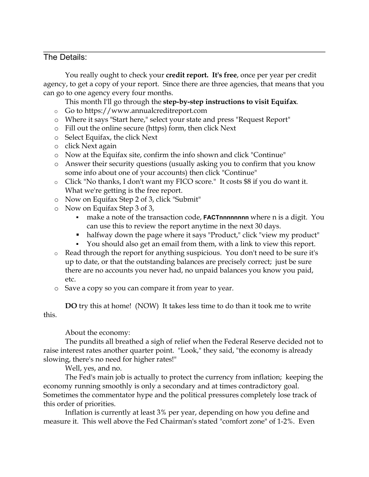## The Details:

You really ought to check your **credit report. It's free**, once per year per credit agency, to get a copy of your report. Since there are three agencies, that means that you can go to one agency every four months.

This month I'll go through the **step-by-step instructions to visit Equifax**.

- o Go to https://www.annualcreditreport.com
- o Where it says "Start here," select your state and press "Request Report"
- o Fill out the online secure (https) form, then click Next
- o Select Equifax, the click Next
- o click Next again
- o Now at the Equifax site, confirm the info shown and click "Continue"
- o Answer their security questions (usually asking you to confirm that you know some info about one of your accounts) then click "Continue"
- o Click "No thanks, I don't want my FICO score." It costs \$8 if you do want it. What we're getting is the free report.
- o Now on Equifax Step 2 of 3, click "Submit"
- o Now on Equifax Step 3 of 3,
	- **make a note of the transaction code, <b>FACTnnnnnnnn** where n is a digit. You can use this to review the report anytime in the next 30 days.
	- halfway down the page where it says "Product," click "view my product"
	- You should also get an email from them, with a link to view this report.
- o Read through the report for anything suspicious. You don't need to be sure it's up to date, or that the outstanding balances are precisely correct; just be sure there are no accounts you never had, no unpaid balances you know you paid, etc.
- o Save a copy so you can compare it from year to year.

**DO** try this at home! (NOW) It takes less time to do than it took me to write this.

About the economy:

The pundits all breathed a sigh of relief when the Federal Reserve decided not to raise interest rates another quarter point. "Look," they said, "the economy is already slowing, there's no need for higher rates!"

Well, yes, and no.

The Fed's main job is actually to protect the currency from inflation; keeping the economy running smoothly is only a secondary and at times contradictory goal. Sometimes the commentator hype and the political pressures completely lose track of this order of priorities.

Inflation is currently at least 3% per year, depending on how you define and measure it. This well above the Fed Chairman's stated "comfort zone" of 1-2%. Even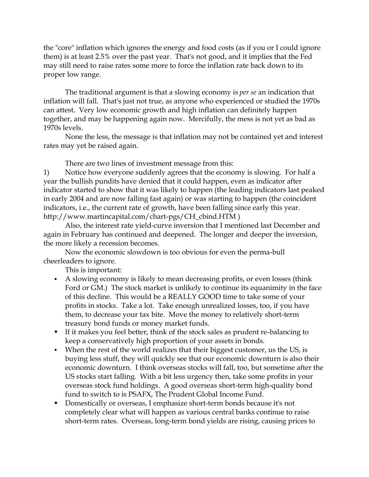the "core" inflation which ignores the energy and food costs (as if you or I could ignore them) is at least 2.5% over the past year. That's not good, and it implies that the Fed may still need to raise rates some more to force the inflation rate back down to its proper low range.

The traditional argument is that a slowing economy is *per se* an indication that inflation will fall. That's just not true, as anyone who experienced or studied the 1970s can attest. Very low economic growth and high inflation can definitely happen together, and may be happening again now. Mercifully, the mess is not yet as bad as 1970s levels.

None the less, the message is that inflation may not be contained yet and interest rates may yet be raised again.

There are two lines of investment message from this:

1) Notice how everyone suddenly agrees that the economy is slowing. For half a year the bullish pundits have denied that it could happen, even as indicator after indicator started to show that it was likely to happen (the leading indicators last peaked in early 2004 and are now falling fast again) or was starting to happen (the coincident indicators, i.e., the current rate of growth, have been falling since early this year. http://www.martincapital.com/chart-pgs/CH\_cbind.HTM )

Also, the interest rate yield-curve inversion that I mentioned last December and again in February has continued and deepened. The longer and deeper the inversion, the more likely a recession becomes.

Now the economic slowdown is too obvious for even the perma-bull cheerleaders to ignore.

This is important:

- A slowing economy is likely to mean decreasing profits, or even losses (think Ford or GM.) The stock market is unlikely to continue its equanimity in the face of this decline. This would be a REALLY GOOD time to take some of your profits in stocks. Take a lot. Take enough unrealized losses, too, if you have them, to decrease your tax bite. Move the money to relatively short-term treasury bond funds or money market funds.
- If it makes you feel better, think of the stock sales as prudent re-balancing to keep a conservatively high proportion of your assets in bonds.
- When the rest of the world realizes that their biggest customer, us the US, is buying less stuff, they will quickly see that our economic downturn is also their economic downturn. I think overseas stocks will fall, too, but sometime after the US stocks start falling. With a bit less urgency then, take some profits in your overseas stock fund holdings. A good overseas short-term high-quality bond fund to switch to is PSAFX, The Prudent Global Income Fund.
- Domestically or overseas, I emphasize short-term bonds because it's not completely clear what will happen as various central banks continue to raise short-term rates. Overseas, long-term bond yields are rising, causing prices to